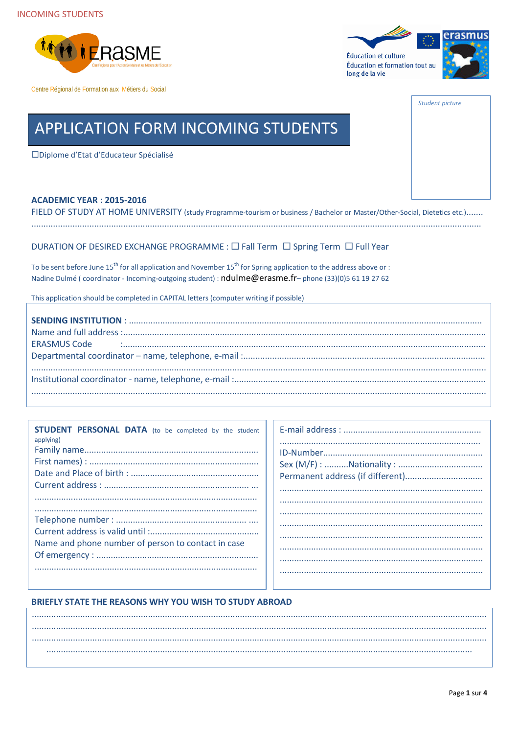



Student picture

# **APPLICATION FORM INCOMING STUDENTS**

□Diplome d'Etat d'Educateur Spécialisé

#### **ACADEMIC YEAR: 2015-2016**

FIELD OF STUDY AT HOME UNIVERSITY (study Programme-tourism or business / Bachelor or Master/Other-Social, Dietetics etc.)....... 

### DURATION OF DESIRED EXCHANGE PROGRAMME : □ Fall Term □ Spring Term □ Full Year

To be sent before June  $15^{th}$  for all application and November  $15^{th}$  for Spring application to the address above or : Nadine Dulmé (coordinator - Incoming-outgoing student) : ndulme@erasme.fr-phone (33)(0)5 61 19 27 62

This application should be completed in CAPITAL letters (computer writing if possible)

| <b>STUDENT PERSONAL DATA</b> (to be completed by the student<br>applying) |
|---------------------------------------------------------------------------|
|                                                                           |
|                                                                           |
|                                                                           |
|                                                                           |
|                                                                           |
|                                                                           |
|                                                                           |
|                                                                           |
| Name and phone number of person to contact in case                        |
|                                                                           |
|                                                                           |

#### BRIEFLY STATE THE REASONS WHY YOU WISH TO STUDY ABROAD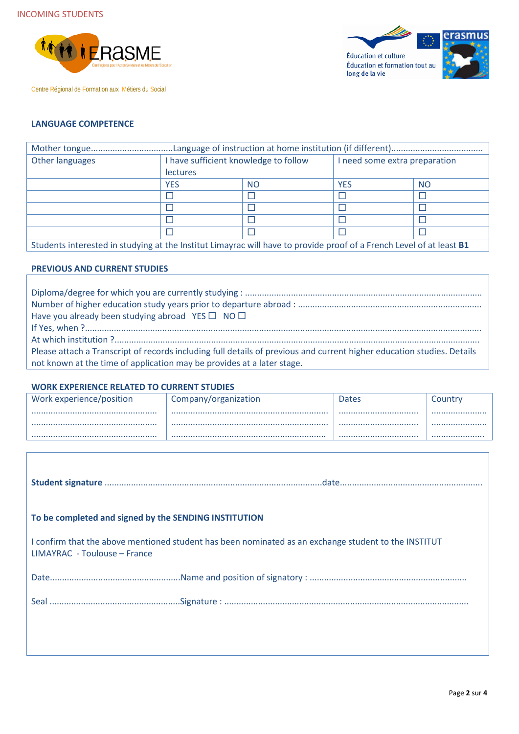



## **LANGUAGE COMPETENCE**

| Other languages                                                                                                      | I have sufficient knowledge to follow |           | I need some extra preparation |           |
|----------------------------------------------------------------------------------------------------------------------|---------------------------------------|-----------|-------------------------------|-----------|
|                                                                                                                      | <b>lectures</b>                       |           |                               |           |
|                                                                                                                      | <b>YES</b>                            | <b>NO</b> | <b>YES</b>                    | <b>NO</b> |
|                                                                                                                      |                                       |           |                               |           |
|                                                                                                                      |                                       |           |                               |           |
|                                                                                                                      |                                       |           |                               |           |
|                                                                                                                      |                                       |           |                               |           |
| Students interested in studying at the Institut Limayrac will have to provide proof of a French Level of at least B1 |                                       |           |                               |           |

**PREVIOUS AND CURRENT STUDIES**

| Have you already been studying abroad YES $\Box$ NO $\Box$                                                             |
|------------------------------------------------------------------------------------------------------------------------|
|                                                                                                                        |
|                                                                                                                        |
| Please attach a Transcript of records including full details of previous and current higher education studies. Details |
| not known at the time of application may be provides at a later stage.                                                 |

#### **WORK EXPERIENCE RELATED TO CURRENT STUDIES**

| Work experience/position | Company/organization | <b>Dates</b> | Country |
|--------------------------|----------------------|--------------|---------|
|                          |                      | <br>         |         |
|                          |                      |              |         |

| To be completed and signed by the SENDING INSTITUTION |                                                                                                      |
|-------------------------------------------------------|------------------------------------------------------------------------------------------------------|
| LIMAYRAC - Toulouse – France                          | I confirm that the above mentioned student has been nominated as an exchange student to the INSTITUT |
|                                                       |                                                                                                      |
|                                                       |                                                                                                      |
|                                                       |                                                                                                      |
|                                                       |                                                                                                      |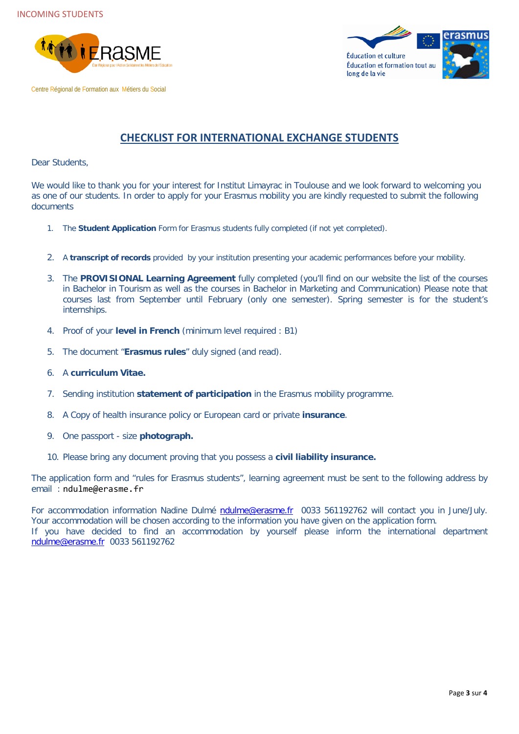



# **CHECKLIST FOR INTERNATIONAL EXCHANGE STUDENTS**

Dear Students,

We would like to thank you for your interest for Institut Limayrac in Toulouse and we look forward to welcoming you as one of our students. In order to apply for your Erasmus mobility you are kindly requested to submit the following documents

- 1. The **Student Application** Form for Erasmus students fully completed (if not yet completed).
- 2. A **transcript of records** provided by your institution presenting your academic performances before your mobility.
- 3. The **PROVISIONAL Learning Agreement** fully completed (you'll find on our website the list of the courses in Bachelor in Tourism as well as the courses in Bachelor in Marketing and Communication) Please note that courses last from September until February (only one semester). Spring semester is for the student's internships.
- 4. Proof of your **level in French** (minimum level required : B1)
- 5. The document "**Erasmus rules**" duly signed (and read).
- 6. A **curriculum Vitae.**
- 7. Sending institution **statement of participation** in the Erasmus mobility programme.
- 8. A Copy of health insurance policy or European card or private **insurance**.
- 9. One passport size **photograph.**
- 10. Please bring any document proving that you possess a **civil liability insurance.**

The application form and "rules for Erasmus students", learning agreement must be sent to the following address by email : ndulme@erasme.fr

For accommodation information Nadine Dulmé [ndulme@erasme.fr](mailto:ndulme@erasme.fr) 0033 561192762 will contact you in June/July. Your accommodation will be chosen according to the information you have given on the application form. If you have decided to find an accommodation by yourself please inform the international department [ndulme@erasme.fr](mailto:ndulme@erasme.fr) 0033 561192762